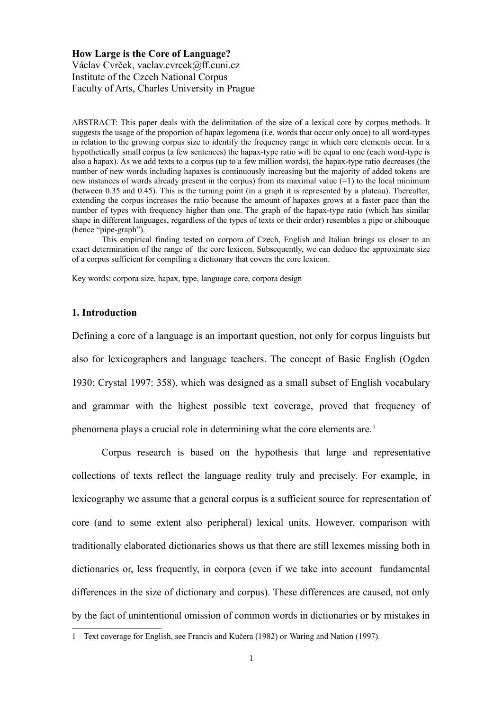### **How Large is the Core of Language?**

Václav Cvrček, vaclav.cvrcek@ff.cuni.cz Institute of the Czech National Corpus Faculty of Arts, Charles University in Prague

ABSTRACT: This paper deals with the delimitation of the size of a lexical core by corpus methods. It suggests the usage of the proportion of hapax legomena (i.e. words that occur only once) to all word-types in relation to the growing corpus size to identify the frequency range in which core elements occur. In a hypothetically small corpus (a few sentences) the hapax-type ratio will be equal to one (each word-type is also a hapax). As we add texts to a corpus (up to a few million words), the hapax-type ratio decreases (the number of new words including hapaxes is continuously increasing but the majority of added tokens are new instances of words already present in the corpus) from its maximal value (=1) to the local minimum (between 0.35 and 0.45). This is the turning point (in a graph it is represented by a plateau). Thereafter, extending the corpus increases the ratio because the amount of hapaxes grows at a faster pace than the number of types with frequency higher than one. The graph of the hapax-type ratio (which has similar shape in different languages, regardless of the types of texts or their order) resembles a pipe or chibouque (hence "pipe-graph").

This empirical finding tested on corpora of Czech, English and Italian brings us closer to an exact determination of the range of the core lexicon. Subsequently, we can deduce the approximate size of a corpus sufficient for compiling a dictionary that covers the core lexicon.

Key words: corpora size, hapax, type, language core, corpora design

# **1. Introduction**

Defining a core of a language is an important question, not only for corpus linguists but also for lexicographers and language teachers. The concept of Basic English (Ogden 1930; Crystal 1997: 358), which was designed as a small subset of English vocabulary and grammar with the highest possible text coverage, proved that frequency of phenomena plays a crucial role in determining what the core elements are.<sup>[1](#page-0-0)</sup>

Corpus research is based on the hypothesis that large and representative collections of texts reflect the language reality truly and precisely. For example, in lexicography we assume that a general corpus is a sufficient source for representation of core (and to some extent also peripheral) lexical units. However, comparison with traditionally elaborated dictionaries shows us that there are still lexemes missing both in dictionaries or, less frequently, in corpora (even if we take into account fundamental differences in the size of dictionary and corpus). These differences are caused, not only by the fact of unintentional omission of common words in dictionaries or by mistakes in

<span id="page-0-0"></span><sup>1</sup> Text coverage for English, see Francis and Kučera (1982) or Waring and Nation (1997).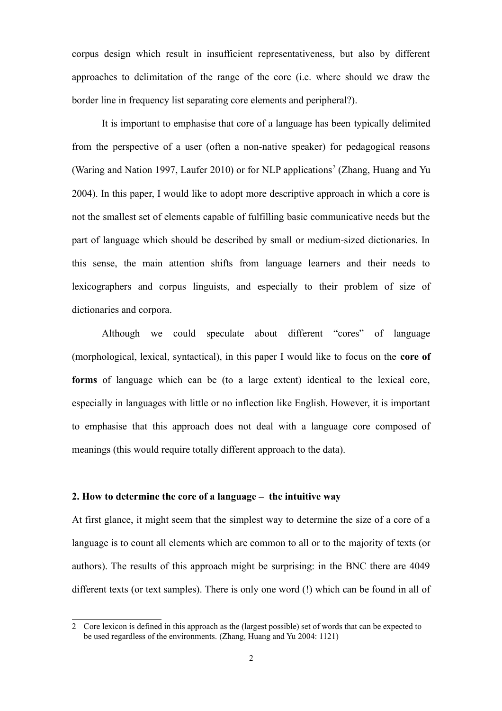corpus design which result in insufficient representativeness, but also by different approaches to delimitation of the range of the core (i.e. where should we draw the border line in frequency list separating core elements and peripheral?).

It is important to emphasise that core of a language has been typically delimited from the perspective of a user (often a non-native speaker) for pedagogical reasons (Waring and Nation 1997, Laufer 2010) or for NLP applications<sup>2</sup> (Zhang, Huang and Yu 2004). In this paper, I would like to adopt more descriptive approach in which a core is not the smallest set of elements capable of fulfilling basic communicative needs but the part of language which should be described by small or medium-sized dictionaries. In this sense, the main attention shifts from language learners and their needs to lexicographers and corpus linguists, and especially to their problem of size of dictionaries and corpora.

Although we could speculate about different "cores" of language (morphological, lexical, syntactical), in this paper I would like to focus on the **core of forms** of language which can be (to a large extent) identical to the lexical core, especially in languages with little or no inflection like English. However, it is important to emphasise that this approach does not deal with a language core composed of meanings (this would require totally different approach to the data).

# **2. How to determine the core of a language – the intuitive way**

At first glance, it might seem that the simplest way to determine the size of a core of a language is to count all elements which are common to all or to the majority of texts (or authors). The results of this approach might be surprising: in the BNC there are 4049 different texts (or text samples). There is only one word (!) which can be found in all of

<span id="page-1-0"></span><sup>2</sup> Core lexicon is defined in this approach as the (largest possible) set of words that can be expected to be used regardless of the environments. (Zhang, Huang and Yu 2004: 1121)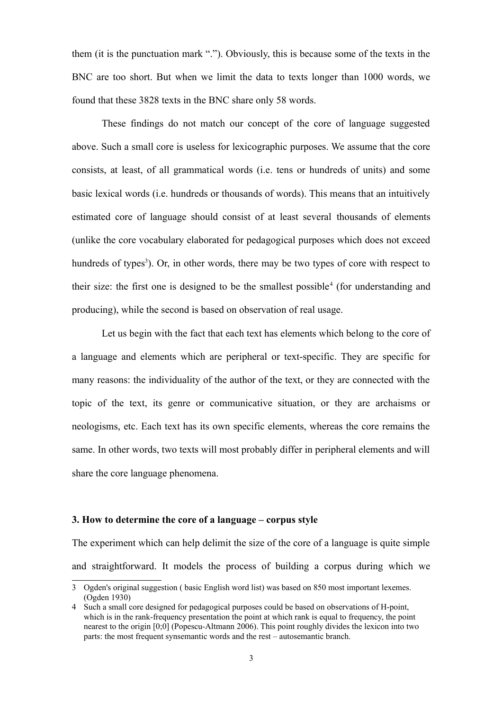them (it is the punctuation mark "."). Obviously, this is because some of the texts in the BNC are too short. But when we limit the data to texts longer than 1000 words, we found that these 3828 texts in the BNC share only 58 words.

These findings do not match our concept of the core of language suggested above. Such a small core is useless for lexicographic purposes. We assume that the core consists, at least, of all grammatical words (i.e. tens or hundreds of units) and some basic lexical words (i.e. hundreds or thousands of words). This means that an intuitively estimated core of language should consist of at least several thousands of elements (unlike the core vocabulary elaborated for pedagogical purposes which does not exceed hundreds of types<sup>3</sup>). Or, in other words, there may be two types of core with respect to their size: the first one is designed to be the smallest possible<sup>4</sup> (for understanding and producing), while the second is based on observation of real usage.

Let us begin with the fact that each text has elements which belong to the core of a language and elements which are peripheral or text-specific. They are specific for many reasons: the individuality of the author of the text, or they are connected with the topic of the text, its genre or communicative situation, or they are archaisms or neologisms, etc. Each text has its own specific elements, whereas the core remains the same. In other words, two texts will most probably differ in peripheral elements and will share the core language phenomena.

# **3. How to determine the core of a language – corpus style**

The experiment which can help delimit the size of the core of a language is quite simple and straightforward. It models the process of building a corpus during which we

<span id="page-2-0"></span><sup>3</sup> Ogden's original suggestion ( basic English word list) was based on 850 most important lexemes. (Ogden 1930)

<span id="page-2-1"></span><sup>4</sup> Such a small core designed for pedagogical purposes could be based on observations of H-point, which is in the rank-frequency presentation the point at which rank is equal to frequency, the point nearest to the origin [0;0] (Popescu-Altmann 2006). This point roughly divides the lexicon into two parts: the most frequent synsemantic words and the rest – autosemantic branch.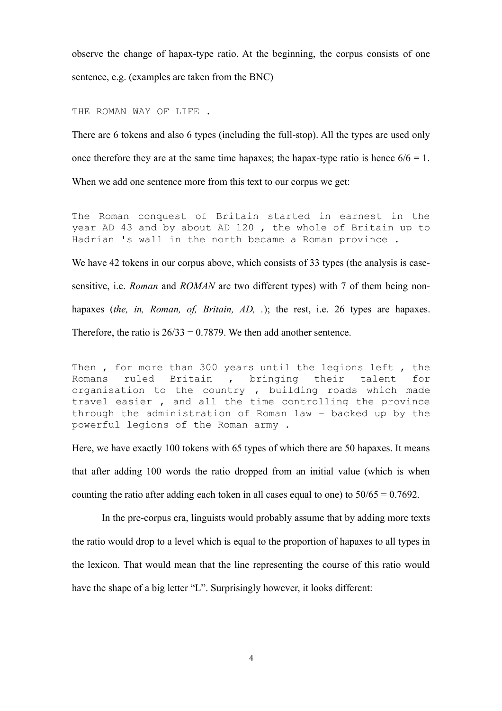observe the change of hapax-type ratio. At the beginning, the corpus consists of one sentence, e.g. (examples are taken from the BNC)

THE ROMAN WAY OF LIFE.

There are 6 tokens and also 6 types (including the full-stop). All the types are used only once therefore they are at the same time hapaxes; the hapax-type ratio is hence  $6/6 = 1$ . When we add one sentence more from this text to our corpus we get:

The Roman conquest of Britain started in earnest in the year AD 43 and by about AD 120 , the whole of Britain up to Hadrian 's wall in the north became a Roman province .

We have 42 tokens in our corpus above, which consists of 33 types (the analysis is casesensitive, i.e. *Roman* and *ROMAN* are two different types) with 7 of them being nonhapaxes (*the, in, Roman, of, Britain, AD, .*); the rest, i.e. 26 types are hapaxes. Therefore, the ratio is  $26/33 = 0.7879$ . We then add another sentence.

Then, for more than 300 years until the legions left, the<br>Romans ruled Britain, bringing their talent for Romans ruled Britain , bringing their talent for organisation to the country , building roads which made travel easier , and all the time controlling the province through the administration of Roman law – backed up by the powerful legions of the Roman army .

Here, we have exactly 100 tokens with 65 types of which there are 50 hapaxes. It means that after adding 100 words the ratio dropped from an initial value (which is when counting the ratio after adding each token in all cases equal to one) to  $50/65 = 0.7692$ .

In the pre-corpus era, linguists would probably assume that by adding more texts the ratio would drop to a level which is equal to the proportion of hapaxes to all types in the lexicon. That would mean that the line representing the course of this ratio would have the shape of a big letter "L". Surprisingly however, it looks different: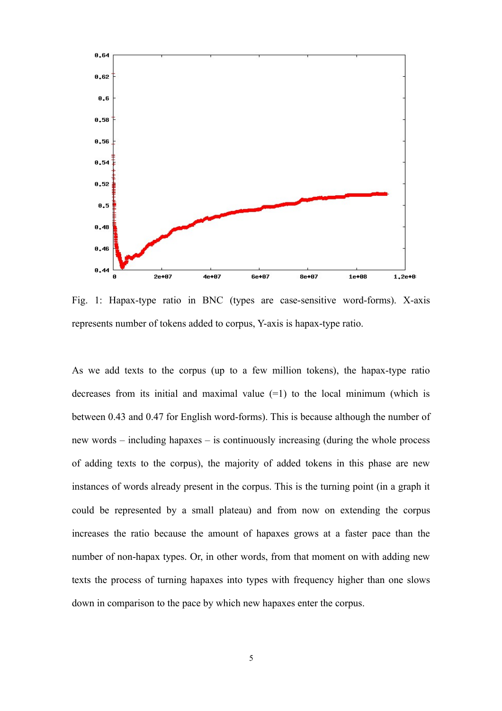

Fig. 1: Hapax-type ratio in BNC (types are case-sensitive word-forms). X-axis represents number of tokens added to corpus, Y-axis is hapax-type ratio.

As we add texts to the corpus (up to a few million tokens), the hapax-type ratio decreases from its initial and maximal value  $(=1)$  to the local minimum (which is between 0.43 and 0.47 for English word-forms). This is because although the number of new words – including hapaxes – is continuously increasing (during the whole process of adding texts to the corpus), the majority of added tokens in this phase are new instances of words already present in the corpus. This is the turning point (in a graph it could be represented by a small plateau) and from now on extending the corpus increases the ratio because the amount of hapaxes grows at a faster pace than the number of non-hapax types. Or, in other words, from that moment on with adding new texts the process of turning hapaxes into types with frequency higher than one slows down in comparison to the pace by which new hapaxes enter the corpus.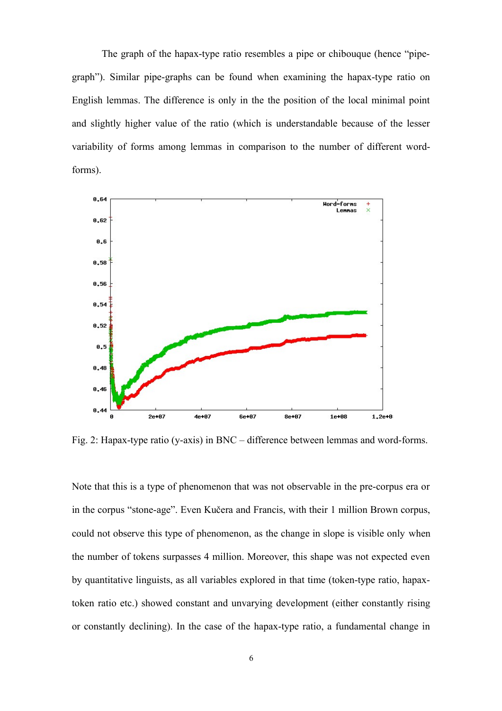The graph of the hapax-type ratio resembles a pipe or chibouque (hence "pipegraph"). Similar pipe-graphs can be found when examining the hapax-type ratio on English lemmas. The difference is only in the the position of the local minimal point and slightly higher value of the ratio (which is understandable because of the lesser variability of forms among lemmas in comparison to the number of different wordforms).



Fig. 2: Hapax-type ratio (y-axis) in BNC – difference between lemmas and word-forms.

Note that this is a type of phenomenon that was not observable in the pre-corpus era or in the corpus "stone-age". Even Kučera and Francis, with their 1 million Brown corpus, could not observe this type of phenomenon, as the change in slope is visible only when the number of tokens surpasses 4 million. Moreover, this shape was not expected even by quantitative linguists, as all variables explored in that time (token-type ratio, hapaxtoken ratio etc.) showed constant and unvarying development (either constantly rising or constantly declining). In the case of the hapax-type ratio, a fundamental change in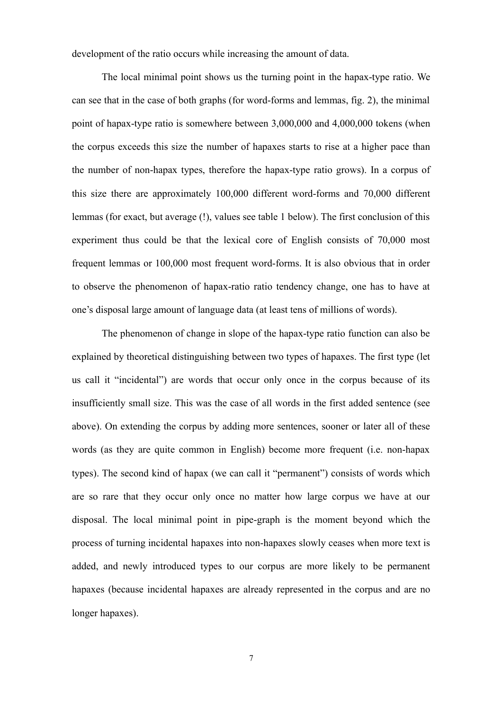development of the ratio occurs while increasing the amount of data.

The local minimal point shows us the turning point in the hapax-type ratio. We can see that in the case of both graphs (for word-forms and lemmas, fig. 2), the minimal point of hapax-type ratio is somewhere between 3,000,000 and 4,000,000 tokens (when the corpus exceeds this size the number of hapaxes starts to rise at a higher pace than the number of non-hapax types, therefore the hapax-type ratio grows). In a corpus of this size there are approximately 100,000 different word-forms and 70,000 different lemmas (for exact, but average (!), values see table 1 below). The first conclusion of this experiment thus could be that the lexical core of English consists of 70,000 most frequent lemmas or 100,000 most frequent word-forms. It is also obvious that in order to observe the phenomenon of hapax-ratio ratio tendency change, one has to have at one's disposal large amount of language data (at least tens of millions of words).

The phenomenon of change in slope of the hapax-type ratio function can also be explained by theoretical distinguishing between two types of hapaxes. The first type (let us call it "incidental") are words that occur only once in the corpus because of its insufficiently small size. This was the case of all words in the first added sentence (see above). On extending the corpus by adding more sentences, sooner or later all of these words (as they are quite common in English) become more frequent (i.e. non-hapax types). The second kind of hapax (we can call it "permanent") consists of words which are so rare that they occur only once no matter how large corpus we have at our disposal. The local minimal point in pipe-graph is the moment beyond which the process of turning incidental hapaxes into non-hapaxes slowly ceases when more text is added, and newly introduced types to our corpus are more likely to be permanent hapaxes (because incidental hapaxes are already represented in the corpus and are no longer hapaxes).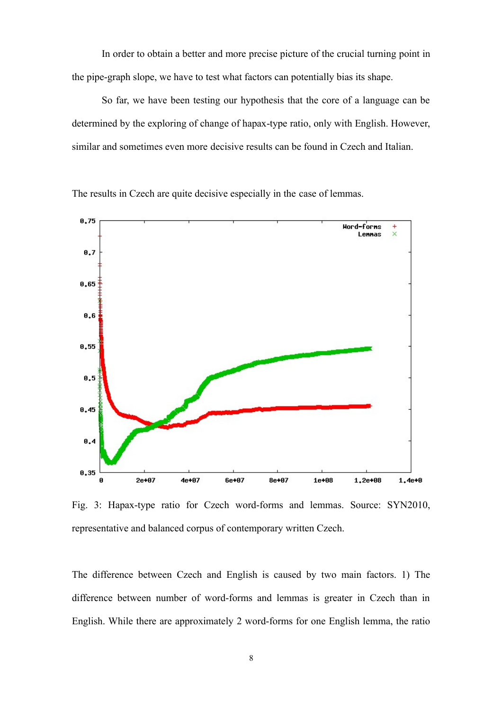In order to obtain a better and more precise picture of the crucial turning point in the pipe-graph slope, we have to test what factors can potentially bias its shape.

So far, we have been testing our hypothesis that the core of a language can be determined by the exploring of change of hapax-type ratio, only with English. However, similar and sometimes even more decisive results can be found in Czech and Italian.



The results in Czech are quite decisive especially in the case of lemmas.

Fig. 3: Hapax-type ratio for Czech word-forms and lemmas. Source: SYN2010, representative and balanced corpus of contemporary written Czech.

The difference between Czech and English is caused by two main factors. 1) The difference between number of word-forms and lemmas is greater in Czech than in English. While there are approximately 2 word-forms for one English lemma, the ratio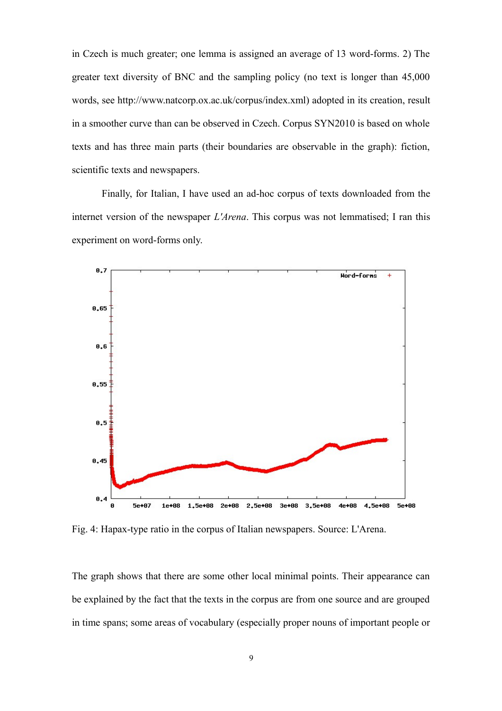in Czech is much greater; one lemma is assigned an average of 13 word-forms. 2) The greater text diversity of BNC and the sampling policy (no text is longer than 45,000 words, see http://www.natcorp.ox.ac.uk/corpus/index.xml) adopted in its creation, result in a smoother curve than can be observed in Czech. Corpus SYN2010 is based on whole texts and has three main parts (their boundaries are observable in the graph): fiction, scientific texts and newspapers.

Finally, for Italian, I have used an ad-hoc corpus of texts downloaded from the internet version of the newspaper *L'Arena*. This corpus was not lemmatised; I ran this experiment on word-forms only.



Fig. 4: Hapax-type ratio in the corpus of Italian newspapers. Source: L'Arena.

The graph shows that there are some other local minimal points. Their appearance can be explained by the fact that the texts in the corpus are from one source and are grouped in time spans; some areas of vocabulary (especially proper nouns of important people or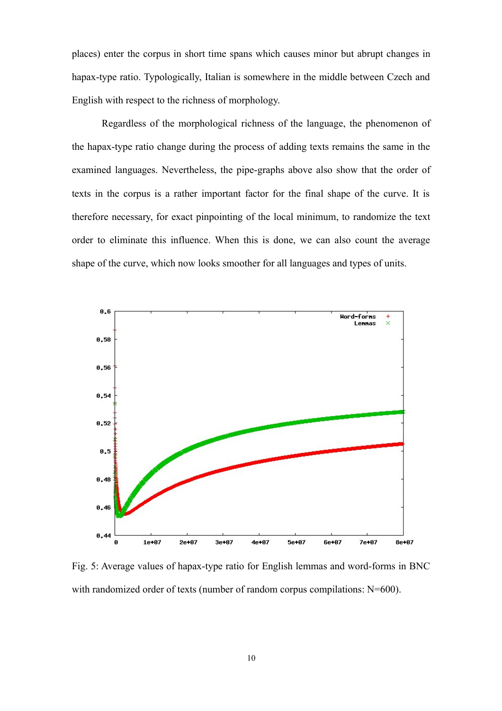places) enter the corpus in short time spans which causes minor but abrupt changes in hapax-type ratio. Typologically, Italian is somewhere in the middle between Czech and English with respect to the richness of morphology.

Regardless of the morphological richness of the language, the phenomenon of the hapax-type ratio change during the process of adding texts remains the same in the examined languages. Nevertheless, the pipe-graphs above also show that the order of texts in the corpus is a rather important factor for the final shape of the curve. It is therefore necessary, for exact pinpointing of the local minimum, to randomize the text order to eliminate this influence. When this is done, we can also count the average shape of the curve, which now looks smoother for all languages and types of units.



Fig. 5: Average values of hapax-type ratio for English lemmas and word-forms in BNC with randomized order of texts (number of random corpus compilations: N=600).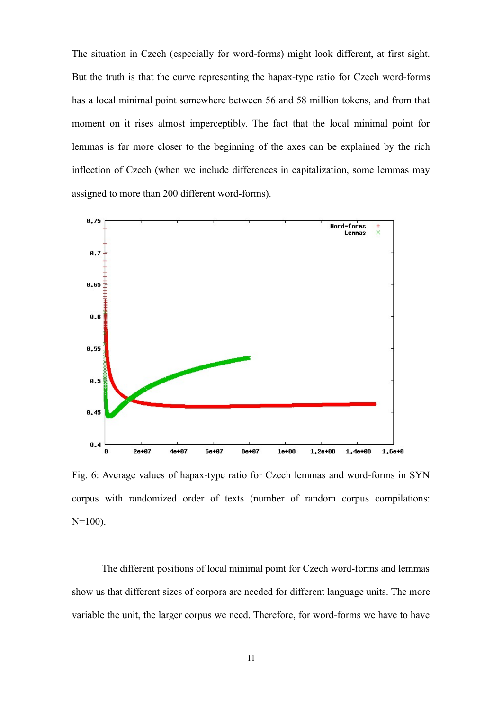The situation in Czech (especially for word-forms) might look different, at first sight. But the truth is that the curve representing the hapax-type ratio for Czech word-forms has a local minimal point somewhere between 56 and 58 million tokens, and from that moment on it rises almost imperceptibly. The fact that the local minimal point for lemmas is far more closer to the beginning of the axes can be explained by the rich inflection of Czech (when we include differences in capitalization, some lemmas may assigned to more than 200 different word-forms).



Fig. 6: Average values of hapax-type ratio for Czech lemmas and word-forms in SYN corpus with randomized order of texts (number of random corpus compilations:  $N=100$ ).

The different positions of local minimal point for Czech word-forms and lemmas show us that different sizes of corpora are needed for different language units. The more variable the unit, the larger corpus we need. Therefore, for word-forms we have to have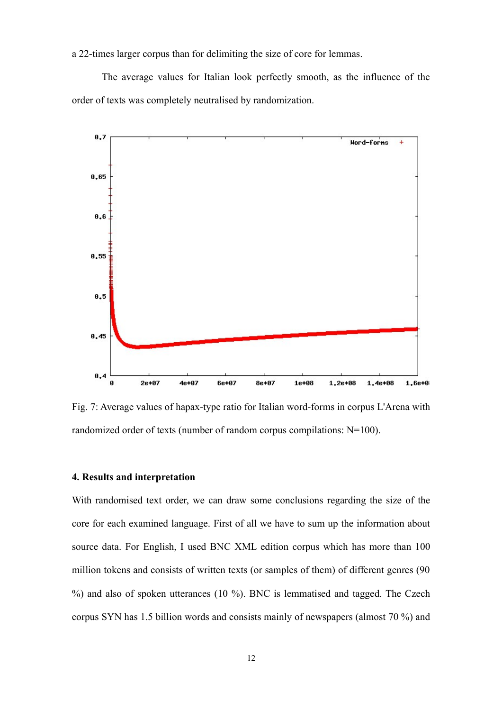a 22-times larger corpus than for delimiting the size of core for lemmas.

The average values for Italian look perfectly smooth, as the influence of the order of texts was completely neutralised by randomization.



Fig. 7: Average values of hapax-type ratio for Italian word-forms in corpus L'Arena with randomized order of texts (number of random corpus compilations: N=100).

# **4. Results and interpretation**

With randomised text order, we can draw some conclusions regarding the size of the core for each examined language. First of all we have to sum up the information about source data. For English, I used BNC XML edition corpus which has more than 100 million tokens and consists of written texts (or samples of them) of different genres (90 %) and also of spoken utterances (10 %). BNC is lemmatised and tagged. The Czech corpus SYN has 1.5 billion words and consists mainly of newspapers (almost 70 %) and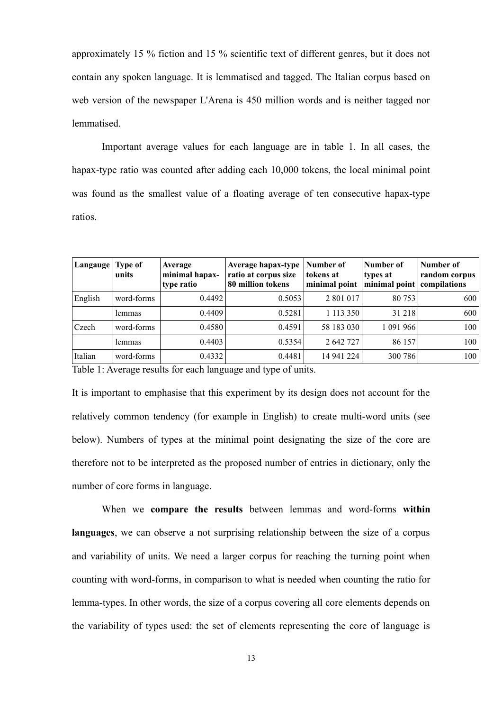approximately 15 % fiction and 15 % scientific text of different genres, but it does not contain any spoken language. It is lemmatised and tagged. The Italian corpus based on web version of the newspaper L'Arena is 450 million words and is neither tagged nor lemmatised.

Important average values for each language are in table 1. In all cases, the hapax-type ratio was counted after adding each 10,000 tokens, the local minimal point was found as the smallest value of a floating average of ten consecutive hapax-type ratios.

| Type of<br>  Langauge  <br>units | Average<br>minimal hapax-<br>type ratio | Average hapax-type<br>ratio at corpus size<br>80 million tokens | Number of<br>tokens at<br>minimal point                                         | Number of<br>types at | Number of<br>random corpus<br>compilations             |
|----------------------------------|-----------------------------------------|-----------------------------------------------------------------|---------------------------------------------------------------------------------|-----------------------|--------------------------------------------------------|
| word-forms                       | 0.4492                                  | 0.5053                                                          | 2 801 017                                                                       | 80 753                | 600                                                    |
| lemmas                           |                                         | 0.5281                                                          |                                                                                 | 31 218                | 600                                                    |
| word-forms                       |                                         |                                                                 |                                                                                 | 1 091 966             | 100                                                    |
| lemmas                           | 0.4403                                  |                                                                 | 2 642 727                                                                       | 86 157                | 100                                                    |
| word-forms                       | 0.4332                                  |                                                                 |                                                                                 | 300 786               | 100                                                    |
|                                  |                                         | $\sim$ $\sim$<br>$\sim$                                         | 0.4409<br>0.4580<br>0.4591<br>0.4481<br>$\bullet$ . The contract of $\bullet$ . | 0.5354                | minimal point<br>1 113 350<br>58 183 030<br>14 941 224 |

Table 1: Average results for each language and type of units.

It is important to emphasise that this experiment by its design does not account for the relatively common tendency (for example in English) to create multi-word units (see below). Numbers of types at the minimal point designating the size of the core are therefore not to be interpreted as the proposed number of entries in dictionary, only the number of core forms in language.

When we **compare the results** between lemmas and word-forms **within languages**, we can observe a not surprising relationship between the size of a corpus and variability of units. We need a larger corpus for reaching the turning point when counting with word-forms, in comparison to what is needed when counting the ratio for lemma-types. In other words, the size of a corpus covering all core elements depends on the variability of types used: the set of elements representing the core of language is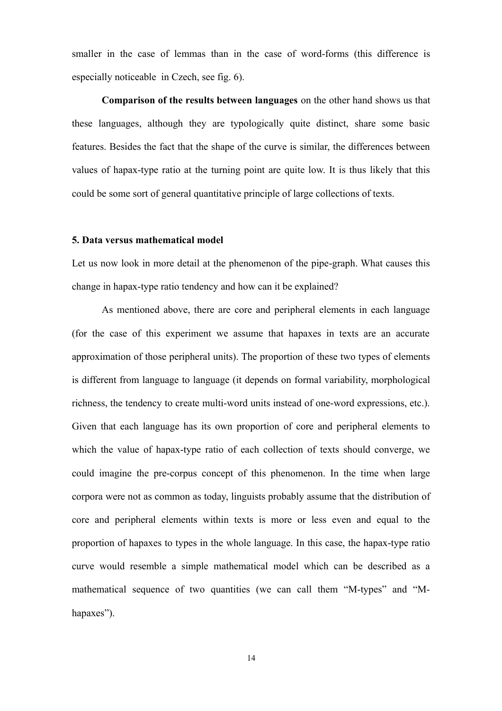smaller in the case of lemmas than in the case of word-forms (this difference is especially noticeable in Czech, see fig. 6).

**Comparison of the results between languages** on the other hand shows us that these languages, although they are typologically quite distinct, share some basic features. Besides the fact that the shape of the curve is similar, the differences between values of hapax-type ratio at the turning point are quite low. It is thus likely that this could be some sort of general quantitative principle of large collections of texts.

#### **5. Data versus mathematical model**

Let us now look in more detail at the phenomenon of the pipe-graph. What causes this change in hapax-type ratio tendency and how can it be explained?

As mentioned above, there are core and peripheral elements in each language (for the case of this experiment we assume that hapaxes in texts are an accurate approximation of those peripheral units). The proportion of these two types of elements is different from language to language (it depends on formal variability, morphological richness, the tendency to create multi-word units instead of one-word expressions, etc.). Given that each language has its own proportion of core and peripheral elements to which the value of hapax-type ratio of each collection of texts should converge, we could imagine the pre-corpus concept of this phenomenon. In the time when large corpora were not as common as today, linguists probably assume that the distribution of core and peripheral elements within texts is more or less even and equal to the proportion of hapaxes to types in the whole language. In this case, the hapax-type ratio curve would resemble a simple mathematical model which can be described as a mathematical sequence of two quantities (we can call them "M-types" and "Mhapaxes").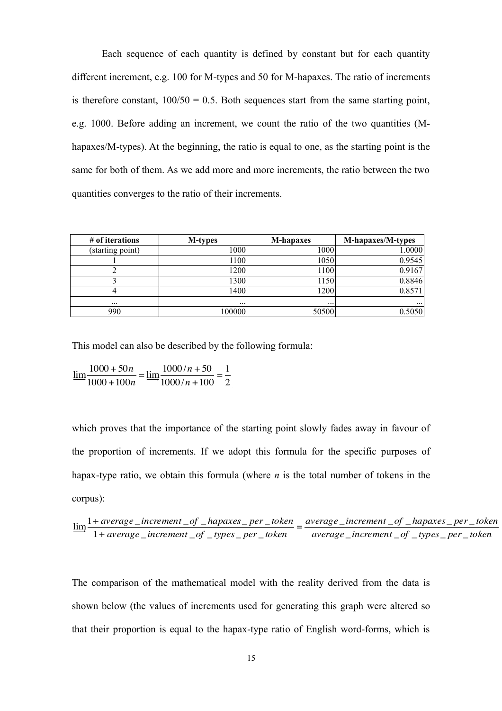Each sequence of each quantity is defined by constant but for each quantity different increment, e.g. 100 for M-types and 50 for M-hapaxes. The ratio of increments is therefore constant,  $100/50 = 0.5$ . Both sequences start from the same starting point, e.g. 1000. Before adding an increment, we count the ratio of the two quantities (Mhapaxes/M-types). At the beginning, the ratio is equal to one, as the starting point is the same for both of them. As we add more and more increments, the ratio between the two quantities converges to the ratio of their increments.

| # of iterations  | <b>M-types</b> | <b>M-hapaxes</b> | M-hapaxes/M-types |
|------------------|----------------|------------------|-------------------|
| (starting point) | 1000           | 1000             | 1.0000            |
|                  | 1100           | 1050             | 0.9545            |
|                  | 1200           | 1100             | 0.9167            |
|                  | 1300           | 1150             | 0.8846            |
|                  | 1400           | 1200             | 0.8571            |
| $\cdots$         | $\cdots$       | $\cdots$         | $\cdots$          |
| 990              | 100000         | 50500            | 0.5050            |

This model can also be described by the following formula:

 $\lim_{n \to \infty} \frac{1000 + 50n}{1000 + 100n} = \lim_{n \to \infty} \frac{1000/n + 50}{1000/n + 100} = \frac{1}{2}$ 

which proves that the importance of the starting point slowly fades away in favour of the proportion of increments. If we adopt this formula for the specific purposes of hapax-type ratio, we obtain this formula (where *n* is the total number of tokens in the corpus):

$$
\underline{\lim_{t \to 0^+}} \frac{1+average\_increment\_of\_hapas\_per\_token}{1+average\_increment\_of\_types\_per\_token} = \frac{\text{average\_increment\_of\_hapas\_per\_token}}{\text{average\_increment\_of\_types\_per\_token}}
$$

The comparison of the mathematical model with the reality derived from the data is shown below (the values of increments used for generating this graph were altered so that their proportion is equal to the hapax-type ratio of English word-forms, which is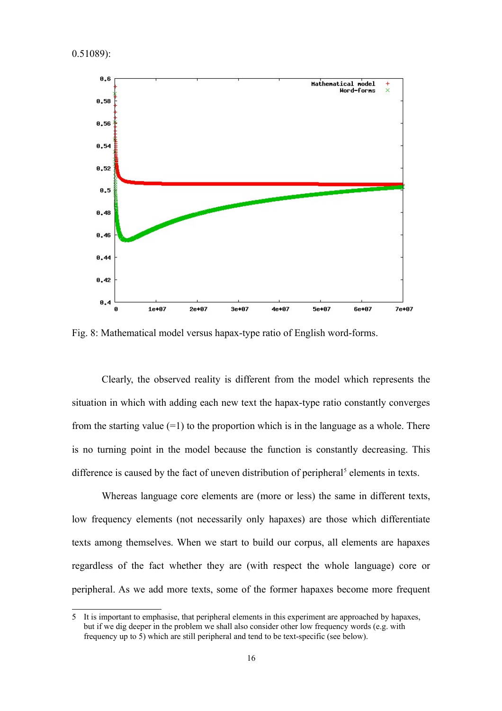0.51089):



Fig. 8: Mathematical model versus hapax-type ratio of English word-forms.

Clearly, the observed reality is different from the model which represents the situation in which with adding each new text the hapax-type ratio constantly converges from the starting value  $(=1)$  to the proportion which is in the language as a whole. There is no turning point in the model because the function is constantly decreasing. This difference is caused by the fact of uneven distribution of peripheral<sup>[5](#page-15-0)</sup> elements in texts.

Whereas language core elements are (more or less) the same in different texts, low frequency elements (not necessarily only hapaxes) are those which differentiate texts among themselves. When we start to build our corpus, all elements are hapaxes regardless of the fact whether they are (with respect the whole language) core or peripheral. As we add more texts, some of the former hapaxes become more frequent

<span id="page-15-0"></span><sup>5</sup> It is important to emphasise, that peripheral elements in this experiment are approached by hapaxes, but if we dig deeper in the problem we shall also consider other low frequency words (e.g. with frequency up to 5) which are still peripheral and tend to be text-specific (see below).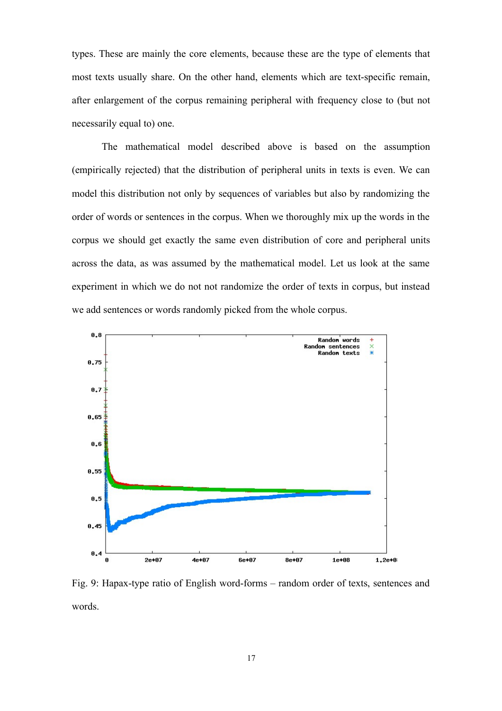types. These are mainly the core elements, because these are the type of elements that most texts usually share. On the other hand, elements which are text-specific remain, after enlargement of the corpus remaining peripheral with frequency close to (but not necessarily equal to) one.

The mathematical model described above is based on the assumption (empirically rejected) that the distribution of peripheral units in texts is even. We can model this distribution not only by sequences of variables but also by randomizing the order of words or sentences in the corpus. When we thoroughly mix up the words in the corpus we should get exactly the same even distribution of core and peripheral units across the data, as was assumed by the mathematical model. Let us look at the same experiment in which we do not not randomize the order of texts in corpus, but instead we add sentences or words randomly picked from the whole corpus.



Fig. 9: Hapax-type ratio of English word-forms – random order of texts, sentences and words.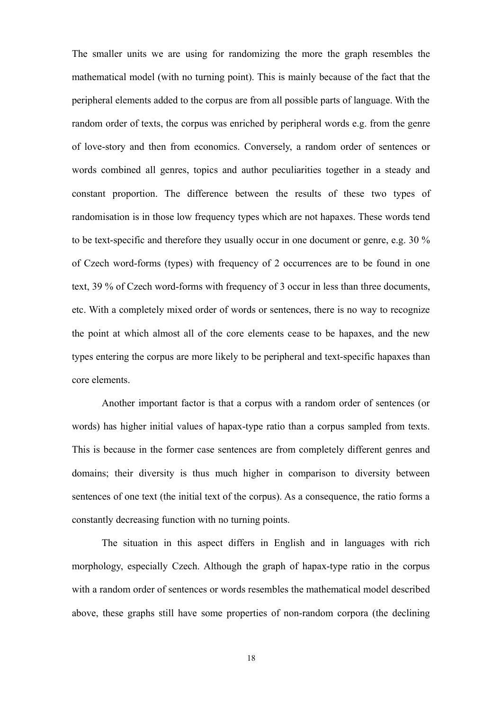The smaller units we are using for randomizing the more the graph resembles the mathematical model (with no turning point). This is mainly because of the fact that the peripheral elements added to the corpus are from all possible parts of language. With the random order of texts, the corpus was enriched by peripheral words e.g. from the genre of love-story and then from economics. Conversely, a random order of sentences or words combined all genres, topics and author peculiarities together in a steady and constant proportion. The difference between the results of these two types of randomisation is in those low frequency types which are not hapaxes. These words tend to be text-specific and therefore they usually occur in one document or genre, e.g. 30 % of Czech word-forms (types) with frequency of 2 occurrences are to be found in one text, 39 % of Czech word-forms with frequency of 3 occur in less than three documents, etc. With a completely mixed order of words or sentences, there is no way to recognize the point at which almost all of the core elements cease to be hapaxes, and the new types entering the corpus are more likely to be peripheral and text-specific hapaxes than core elements.

Another important factor is that a corpus with a random order of sentences (or words) has higher initial values of hapax-type ratio than a corpus sampled from texts. This is because in the former case sentences are from completely different genres and domains; their diversity is thus much higher in comparison to diversity between sentences of one text (the initial text of the corpus). As a consequence, the ratio forms a constantly decreasing function with no turning points.

The situation in this aspect differs in English and in languages with rich morphology, especially Czech. Although the graph of hapax-type ratio in the corpus with a random order of sentences or words resembles the mathematical model described above, these graphs still have some properties of non-random corpora (the declining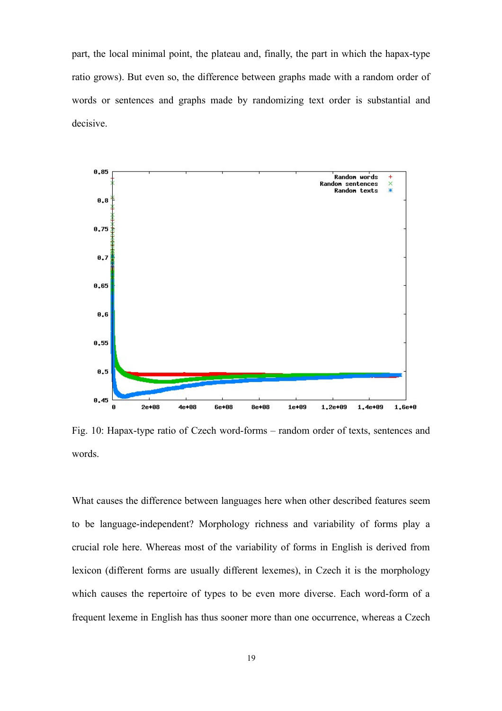part, the local minimal point, the plateau and, finally, the part in which the hapax-type ratio grows). But even so, the difference between graphs made with a random order of words or sentences and graphs made by randomizing text order is substantial and decisive.



Fig. 10: Hapax-type ratio of Czech word-forms – random order of texts, sentences and words.

What causes the difference between languages here when other described features seem to be language-independent? Morphology richness and variability of forms play a crucial role here. Whereas most of the variability of forms in English is derived from lexicon (different forms are usually different lexemes), in Czech it is the morphology which causes the repertoire of types to be even more diverse. Each word-form of a frequent lexeme in English has thus sooner more than one occurrence, whereas a Czech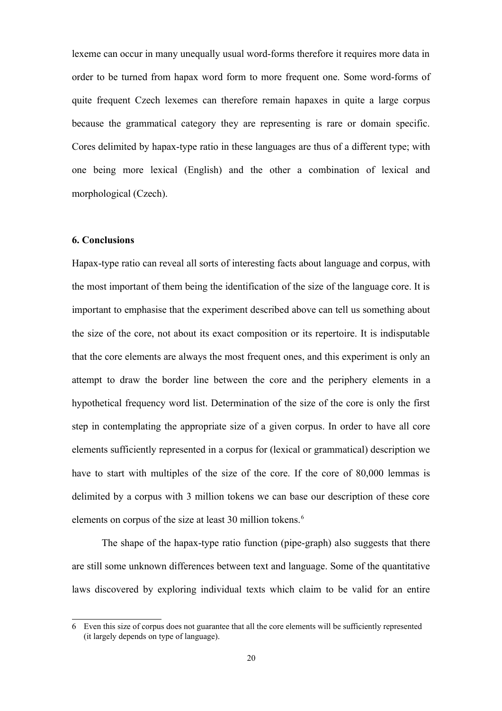lexeme can occur in many unequally usual word-forms therefore it requires more data in order to be turned from hapax word form to more frequent one. Some word-forms of quite frequent Czech lexemes can therefore remain hapaxes in quite a large corpus because the grammatical category they are representing is rare or domain specific. Cores delimited by hapax-type ratio in these languages are thus of a different type; with one being more lexical (English) and the other a combination of lexical and morphological (Czech).

### **6. Conclusions**

Hapax-type ratio can reveal all sorts of interesting facts about language and corpus, with the most important of them being the identification of the size of the language core. It is important to emphasise that the experiment described above can tell us something about the size of the core, not about its exact composition or its repertoire. It is indisputable that the core elements are always the most frequent ones, and this experiment is only an attempt to draw the border line between the core and the periphery elements in a hypothetical frequency word list. Determination of the size of the core is only the first step in contemplating the appropriate size of a given corpus. In order to have all core elements sufficiently represented in a corpus for (lexical or grammatical) description we have to start with multiples of the size of the core. If the core of 80,000 lemmas is delimited by a corpus with 3 million tokens we can base our description of these core elements on corpus of the size at least 30 million tokens.<sup>6</sup>

The shape of the hapax-type ratio function (pipe-graph) also suggests that there are still some unknown differences between text and language. Some of the quantitative laws discovered by exploring individual texts which claim to be valid for an entire

<span id="page-19-0"></span><sup>6</sup> Even this size of corpus does not guarantee that all the core elements will be sufficiently represented (it largely depends on type of language).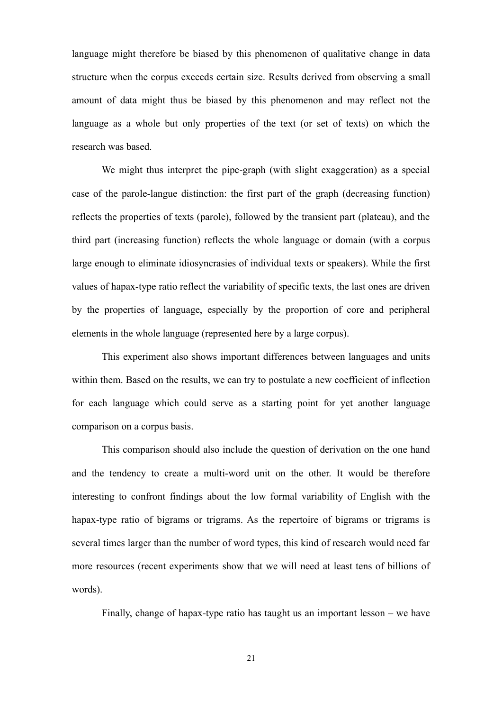language might therefore be biased by this phenomenon of qualitative change in data structure when the corpus exceeds certain size. Results derived from observing a small amount of data might thus be biased by this phenomenon and may reflect not the language as a whole but only properties of the text (or set of texts) on which the research was based.

We might thus interpret the pipe-graph (with slight exaggeration) as a special case of the parole-langue distinction: the first part of the graph (decreasing function) reflects the properties of texts (parole), followed by the transient part (plateau), and the third part (increasing function) reflects the whole language or domain (with a corpus large enough to eliminate idiosyncrasies of individual texts or speakers). While the first values of hapax-type ratio reflect the variability of specific texts, the last ones are driven by the properties of language, especially by the proportion of core and peripheral elements in the whole language (represented here by a large corpus).

This experiment also shows important differences between languages and units within them. Based on the results, we can try to postulate a new coefficient of inflection for each language which could serve as a starting point for yet another language comparison on a corpus basis.

This comparison should also include the question of derivation on the one hand and the tendency to create a multi-word unit on the other. It would be therefore interesting to confront findings about the low formal variability of English with the hapax-type ratio of bigrams or trigrams. As the repertoire of bigrams or trigrams is several times larger than the number of word types, this kind of research would need far more resources (recent experiments show that we will need at least tens of billions of words).

Finally, change of hapax-type ratio has taught us an important lesson – we have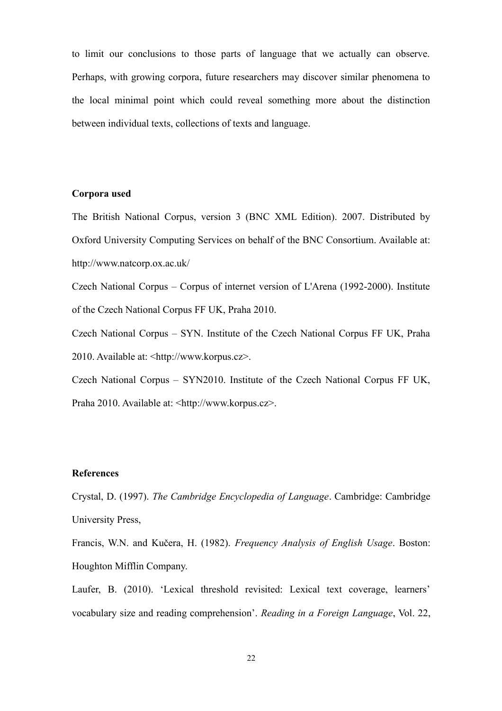to limit our conclusions to those parts of language that we actually can observe. Perhaps, with growing corpora, future researchers may discover similar phenomena to the local minimal point which could reveal something more about the distinction between individual texts, collections of texts and language.

# **Corpora used**

The British National Corpus, version 3 (BNC XML Edition). 2007. Distributed by Oxford University Computing Services on behalf of the BNC Consortium. Available at: http://www.natcorp.ox.ac.uk/

Czech National Corpus – Corpus of internet version of L'Arena (1992-2000). Institute of the Czech National Corpus FF UK, Praha 2010.

Czech National Corpus – SYN. Institute of the Czech National Corpus FF UK, Praha 2010. Available at: <http://www.korpus.cz>.

Czech National Corpus – SYN2010. Institute of the Czech National Corpus FF UK, Praha 2010. Available at: <http://www.korpus.cz>.

# **References**

Crystal, D. (1997). *The Cambridge Encyclopedia of Language*. Cambridge: Cambridge University Press,

Francis, W.N. and Kučera, H. (1982). *Frequency Analysis of English Usage*. Boston: Houghton Mifflin Company.

Laufer, B. (2010). 'Lexical threshold revisited: Lexical text coverage, learners' vocabulary size and reading comprehension'. *Reading in a Foreign Language*, Vol. 22,

22